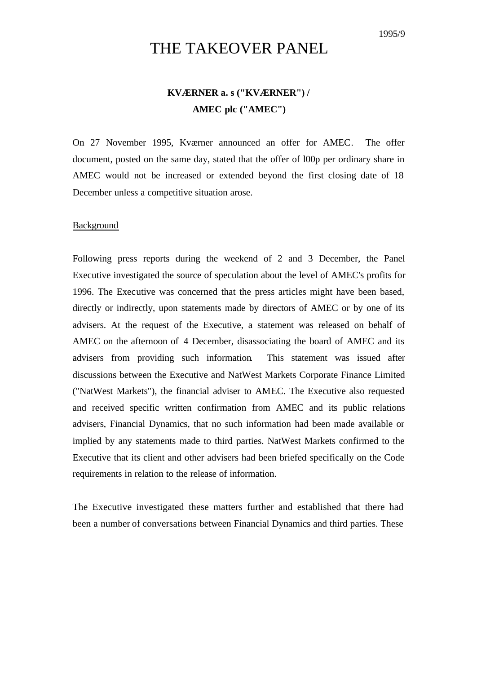# THE TAKEOVER PANEL

## **KVÆRNER a. s ("KVÆRNER") / AMEC plc ("AMEC")**

On 27 November 1995, Kværner announced an offer for AMEC. The offer document, posted on the same day, stated that the offer of l00p per ordinary share in AMEC would not be increased or extended beyond the first closing date of 18 December unless a competitive situation arose.

### Background

Following press reports during the weekend of 2 and 3 December, the Panel Executive investigated the source of speculation about the level of AMEC's profits for 1996. The Executive was concerned that the press articles might have been based, directly or indirectly, upon statements made by directors of AMEC or by one of its advisers. At the request of the Executive, a statement was released on behalf of AMEC on the afternoon of 4 December, disassociating the board of AMEC and its advisers from providing such information. This statement was issued after discussions between the Executive and NatWest Markets Corporate Finance Limited ("NatWest Markets"), the financial adviser to AMEC. The Executive also requested and received specific written confirmation from AMEC and its public relations advisers, Financial Dynamics, that no such information had been made available or implied by any statements made to third parties. NatWest Markets confirmed to the Executive that its client and other advisers had been briefed specifically on the Code requirements in relation to the release of information.

The Executive investigated these matters further and established that there had been a number of conversations between Financial Dynamics and third parties. These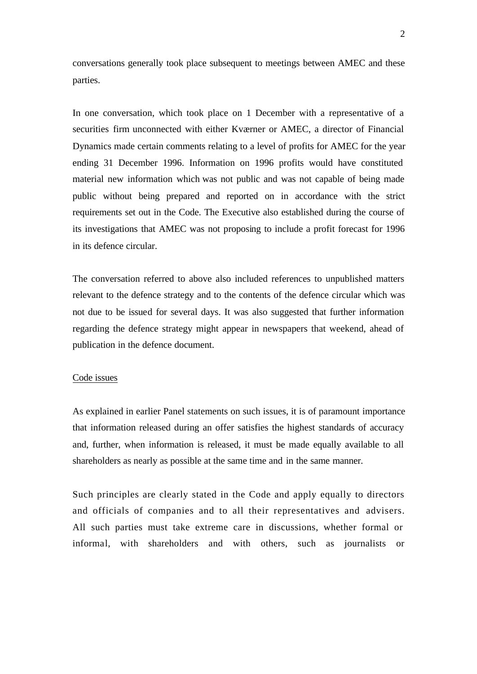conversations generally took place subsequent to meetings between AMEC and these parties.

In one conversation, which took place on 1 December with a representative of a securities firm unconnected with either Kværner or AMEC, a director of Financial Dynamics made certain comments relating to a level of profits for AMEC for the year ending 31 December 1996. Information on 1996 profits would have constituted material new information which was not public and was not capable of being made public without being prepared and reported on in accordance with the strict requirements set out in the Code. The Executive also established during the course of its investigations that AMEC was not proposing to include a profit forecast for 1996 in its defence circular.

The conversation referred to above also included references to unpublished matters relevant to the defence strategy and to the contents of the defence circular which was not due to be issued for several days. It was also suggested that further information regarding the defence strategy might appear in newspapers that weekend, ahead of publication in the defence document.

#### Code issues

As explained in earlier Panel statements on such issues, it is of paramount importance that information released during an offer satisfies the highest standards of accuracy and, further, when information is released, it must be made equally available to all shareholders as nearly as possible at the same time and in the same manner.

Such principles are clearly stated in the Code and apply equally to directors and officials of companies and to all their representatives and advisers. All such parties must take extreme care in discussions, whether formal or informal, with shareholders and with others, such as journalists or